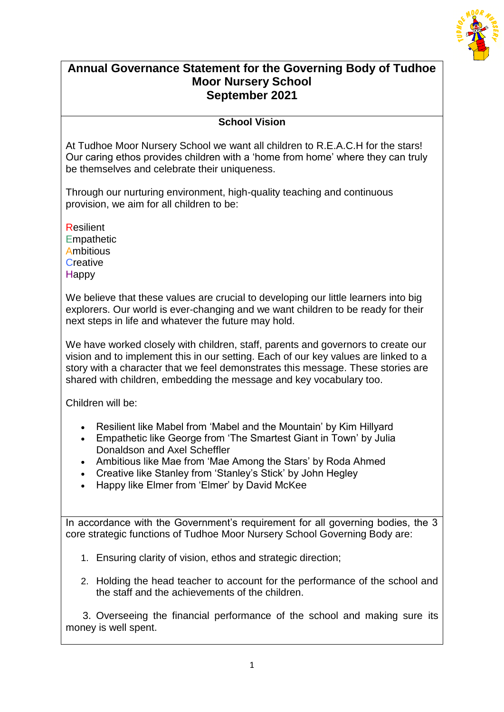

## **Annual Governance Statement for the Governing Body of Tudhoe Moor Nursery School September 2021**

## **School Vision**

At Tudhoe Moor Nursery School we want all children to R.E.A.C.H for the stars! Our caring ethos provides children with a 'home from home' where they can truly be themselves and celebrate their uniqueness.

Through our nurturing environment, high-quality teaching and continuous provision, we aim for all children to be:

**Resilient Empathetic Ambitious Creative Happy** 

We believe that these values are crucial to developing our little learners into big explorers. Our world is ever-changing and we want children to be ready for their next steps in life and whatever the future may hold.

We have worked closely with children, staff, parents and governors to create our vision and to implement this in our setting. Each of our key values are linked to a story with a character that we feel demonstrates this message. These stories are shared with children, embedding the message and key vocabulary too.

Children will be:

- Resilient like Mabel from 'Mabel and the Mountain' by Kim Hillyard
- Empathetic like George from 'The Smartest Giant in Town' by Julia Donaldson and Axel Scheffler
- Ambitious like Mae from 'Mae Among the Stars' by Roda Ahmed
- Creative like Stanley from 'Stanley's Stick' by John Hegley
- Happy like Elmer from 'Elmer' by David McKee

In accordance with the Government's requirement for all governing bodies, the 3 core strategic functions of Tudhoe Moor Nursery School Governing Body are:

- 1. Ensuring clarity of vision, ethos and strategic direction;
- 2. Holding the head teacher to account for the performance of the school and the staff and the achievements of the children.

 3. Overseeing the financial performance of the school and making sure its money is well spent.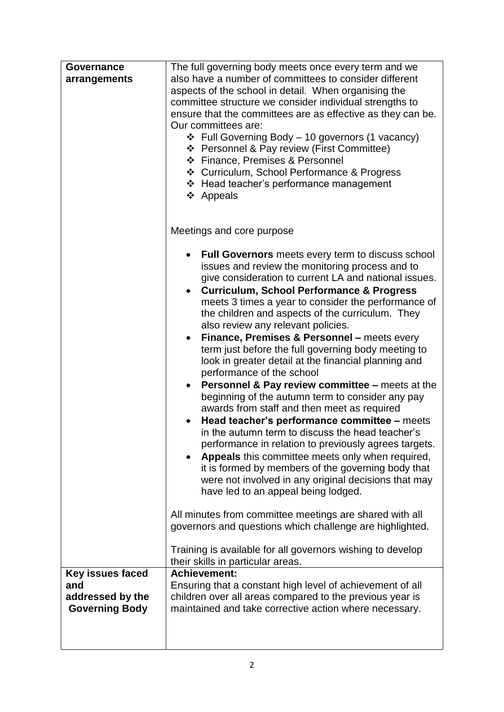| Governance<br>arrangements                                           | The full governing body meets once every term and we<br>also have a number of committees to consider different<br>aspects of the school in detail. When organising the<br>committee structure we consider individual strengths to<br>ensure that the committees are as effective as they can be.<br>Our committees are:<br>❖ Full Governing Body – 10 governors (1 vacancy)<br>❖ Personnel & Pay review (First Committee)<br>❖ Finance, Premises & Personnel<br>❖ Curriculum, School Performance & Progress<br>❖ Head teacher's performance management<br>❖ Appeals                                                                                                                                                                                                                                                                                                                                                                                                                                                                                                      |
|----------------------------------------------------------------------|--------------------------------------------------------------------------------------------------------------------------------------------------------------------------------------------------------------------------------------------------------------------------------------------------------------------------------------------------------------------------------------------------------------------------------------------------------------------------------------------------------------------------------------------------------------------------------------------------------------------------------------------------------------------------------------------------------------------------------------------------------------------------------------------------------------------------------------------------------------------------------------------------------------------------------------------------------------------------------------------------------------------------------------------------------------------------|
|                                                                      | Meetings and core purpose<br><b>Full Governors</b> meets every term to discuss school<br>issues and review the monitoring process and to                                                                                                                                                                                                                                                                                                                                                                                                                                                                                                                                                                                                                                                                                                                                                                                                                                                                                                                                 |
|                                                                      | give consideration to current LA and national issues.<br><b>Curriculum, School Performance &amp; Progress</b><br>$\bullet$<br>meets 3 times a year to consider the performance of<br>the children and aspects of the curriculum. They<br>also review any relevant policies.<br>Finance, Premises & Personnel - meets every<br>term just before the full governing body meeting to<br>look in greater detail at the financial planning and<br>performance of the school<br><b>Personnel &amp; Pay review committee – meets at the</b><br>beginning of the autumn term to consider any pay<br>awards from staff and then meet as required<br>Head teacher's performance committee - meets<br>in the autumn term to discuss the head teacher's<br>performance in relation to previously agrees targets.<br>Appeals this committee meets only when required,<br>it is formed by members of the governing body that<br>were not involved in any original decisions that may<br>have led to an appeal being lodged.<br>All minutes from committee meetings are shared with all |
|                                                                      | governors and questions which challenge are highlighted.<br>Training is available for all governors wishing to develop<br>their skills in particular areas.                                                                                                                                                                                                                                                                                                                                                                                                                                                                                                                                                                                                                                                                                                                                                                                                                                                                                                              |
| Key issues faced<br>and<br>addressed by the<br><b>Governing Body</b> | <b>Achievement:</b><br>Ensuring that a constant high level of achievement of all<br>children over all areas compared to the previous year is<br>maintained and take corrective action where necessary.                                                                                                                                                                                                                                                                                                                                                                                                                                                                                                                                                                                                                                                                                                                                                                                                                                                                   |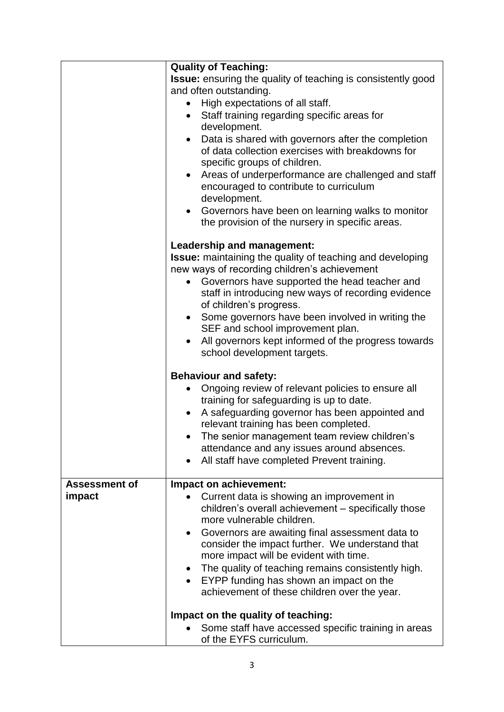|                      | <b>Quality of Teaching:</b>                                                                                                                         |
|----------------------|-----------------------------------------------------------------------------------------------------------------------------------------------------|
|                      | <b>Issue:</b> ensuring the quality of teaching is consistently good                                                                                 |
|                      | and often outstanding.                                                                                                                              |
|                      | High expectations of all staff.                                                                                                                     |
|                      | Staff training regarding specific areas for                                                                                                         |
|                      | development.                                                                                                                                        |
|                      | Data is shared with governors after the completion<br>$\bullet$<br>of data collection exercises with breakdowns for<br>specific groups of children. |
|                      | Areas of underperformance are challenged and staff<br>encouraged to contribute to curriculum<br>development.                                        |
|                      | Governors have been on learning walks to monitor<br>$\bullet$<br>the provision of the nursery in specific areas.                                    |
|                      | Leadership and management:                                                                                                                          |
|                      | <b>Issue:</b> maintaining the quality of teaching and developing                                                                                    |
|                      | new ways of recording children's achievement                                                                                                        |
|                      | Governors have supported the head teacher and<br>staff in introducing new ways of recording evidence<br>of children's progress.                     |
|                      | Some governors have been involved in writing the<br>$\bullet$<br>SEF and school improvement plan.                                                   |
|                      | All governors kept informed of the progress towards<br>$\bullet$<br>school development targets.                                                     |
|                      | <b>Behaviour and safety:</b>                                                                                                                        |
|                      | Ongoing review of relevant policies to ensure all<br>training for safeguarding is up to date.                                                       |
|                      | A safeguarding governor has been appointed and<br>$\bullet$                                                                                         |
|                      | relevant training has been completed.                                                                                                               |
|                      | The senior management team review children's                                                                                                        |
|                      | attendance and any issues around absences.                                                                                                          |
|                      | All staff have completed Prevent training.                                                                                                          |
|                      |                                                                                                                                                     |
| <b>Assessment of</b> | Impact on achievement:                                                                                                                              |
| impact               | Current data is showing an improvement in                                                                                                           |
|                      | children's overall achievement - specifically those<br>more vulnerable children.                                                                    |
|                      | Governors are awaiting final assessment data to<br>$\bullet$                                                                                        |
|                      | consider the impact further. We understand that<br>more impact will be evident with time.                                                           |
|                      | The quality of teaching remains consistently high.                                                                                                  |
|                      | EYPP funding has shown an impact on the<br>$\bullet$                                                                                                |
|                      | achievement of these children over the year.                                                                                                        |
|                      | Impact on the quality of teaching:                                                                                                                  |
|                      | Some staff have accessed specific training in areas                                                                                                 |
|                      | of the EYFS curriculum.                                                                                                                             |